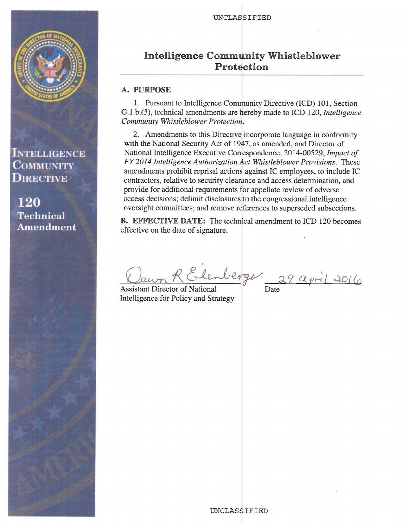



**INTELLIGENCE COMMUNITY DIRECTIVE** 

**120 Technical Amendment** 

# **Intelligence Community Whistleblower** Protection

### A. PURPOSE

1. Pursuant to Intelligence Community Directive (ICD) 101, Section G.1.b.(3), technical amendments are hereby made to ICD 120, Intelligence Community Whistleblower Protection.

2. Amendments to this Directive incorporate language in conformity with the National Security Act of 1947, as amended, and Director of National Intelligence Executive Correspondence, 2014-00529, Impact of FY 2014 Intelligence Authorization Act Whistleblower Provisions. These amendments prohibit reprisal actions against IC employees, to include IC contractors, relative to security clearance and access determination, and provide for additional requirements for appellate review of adverse access decisions; delimit disclosures to the congressional intelligence oversight committees; and remove references to superseded subsections.

**B.** EFFECTIVE DATE: The technical amendment to ICD 120 becomes effective on the date of signature.

Elemberger 29 april 2016

**Assistant Director of National** Intelligence for Policy and Strategy

Date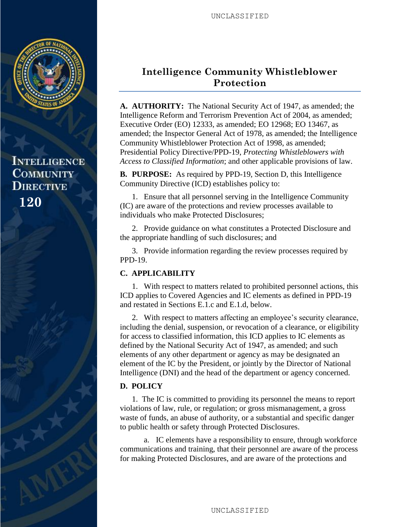

**INTELLIGENCE COMMUNITY DIRECTIVE 120**

# **Intelligence Community Whistleblower Protection**

**A. AUTHORITY:** The National Security Act of 1947, as amended; the Intelligence Reform and Terrorism Prevention Act of 2004, as amended; Executive Order (EO) 12333, as amended; EO 12968; EO 13467, as amended; the Inspector General Act of 1978, as amended; the Intelligence Community Whistleblower Protection Act of 1998, as amended; Presidential Policy Directive/PPD-19, *Protecting Whistleblowers with Access to Classified Information*; and other applicable provisions of law.

**B. PURPOSE:** As required by PPD-19, Section D, this Intelligence Community Directive (ICD) establishes policy to:

1. Ensure that all personnel serving in the Intelligence Community (IC) are aware of the protections and review processes available to individuals who make Protected Disclosures;

2. Provide guidance on what constitutes a Protected Disclosure and the appropriate handling of such disclosures; and

3. Provide information regarding the review processes required by PPD-19.

## **C. APPLICABILITY**

1. With respect to matters related to prohibited personnel actions, this ICD applies to Covered Agencies and IC elements as defined in PPD-19 and restated in Sections E.1.c and E.1.d, below.

2. With respect to matters affecting an employee's security clearance, including the denial, suspension, or revocation of a clearance, or eligibility for access to classified information, this ICD applies to IC elements as defined by the National Security Act of 1947, as amended; and such elements of any other department or agency as may be designated an element of the IC by the President, or jointly by the Director of National Intelligence (DNI) and the head of the department or agency concerned.

## **D. POLICY**

1. The IC is committed to providing its personnel the means to report violations of law, rule, or regulation; or gross mismanagement, a gross waste of funds, an abuse of authority, or a substantial and specific danger to public health or safety through Protected Disclosures.

a. IC elements have a responsibility to ensure, through workforce communications and training, that their personnel are aware of the process for making Protected Disclosures, and are aware of the protections and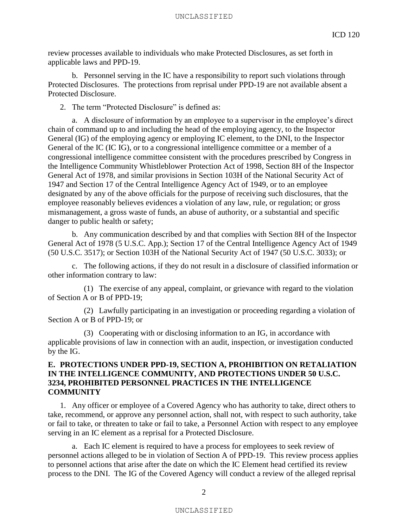review processes available to individuals who make Protected Disclosures, as set forth in applicable laws and PPD-19.

b. Personnel serving in the IC have a responsibility to report such violations through Protected Disclosures. The protections from reprisal under PPD-19 are not available absent a Protected Disclosure.

2. The term "Protected Disclosure" is defined as:

a. A disclosure of information by an employee to a supervisor in the employee's direct chain of command up to and including the head of the employing agency, to the Inspector General (IG) of the employing agency or employing IC element, to the DNI, to the Inspector General of the IC (IC IG), or to a congressional intelligence committee or a member of a congressional intelligence committee consistent with the procedures prescribed by Congress in the Intelligence Community Whistleblower Protection Act of 1998, Section 8H of the Inspector General Act of 1978, and similar provisions in Section 103H of the National Security Act of 1947 and Section 17 of the Central Intelligence Agency Act of 1949, or to an employee designated by any of the above officials for the purpose of receiving such disclosures, that the employee reasonably believes evidences a violation of any law, rule, or regulation; or gross mismanagement, a gross waste of funds, an abuse of authority, or a substantial and specific danger to public health or safety;

b. Any communication described by and that complies with Section 8H of the Inspector General Act of 1978 (5 U.S.C. App.); Section 17 of the Central Intelligence Agency Act of 1949 (50 U.S.C. 3517); or Section 103H of the National Security Act of 1947 (50 U.S.C. 3033); or

c. The following actions, if they do not result in a disclosure of classified information or other information contrary to law:

(1) The exercise of any appeal, complaint, or grievance with regard to the violation of Section A or B of PPD-19;

(2) Lawfully participating in an investigation or proceeding regarding a violation of Section A or B of PPD-19; or

(3) Cooperating with or disclosing information to an IG, in accordance with applicable provisions of law in connection with an audit, inspection, or investigation conducted by the IG.

### **E. PROTECTIONS UNDER PPD-19, SECTION A, PROHIBITION ON RETALIATION IN THE INTELLIGENCE COMMUNITY, AND PROTECTIONS UNDER 50 U.S.C. 3234, PROHIBITED PERSONNEL PRACTICES IN THE INTELLIGENCE COMMUNITY**

1. Any officer or employee of a Covered Agency who has authority to take, direct others to take, recommend, or approve any personnel action, shall not, with respect to such authority, take or fail to take, or threaten to take or fail to take, a Personnel Action with respect to any employee serving in an IC element as a reprisal for a Protected Disclosure.

a. Each IC element is required to have a process for employees to seek review of personnel actions alleged to be in violation of Section A of PPD-19. This review process applies to personnel actions that arise after the date on which the IC Element head certified its review process to the DNI. The IG of the Covered Agency will conduct a review of the alleged reprisal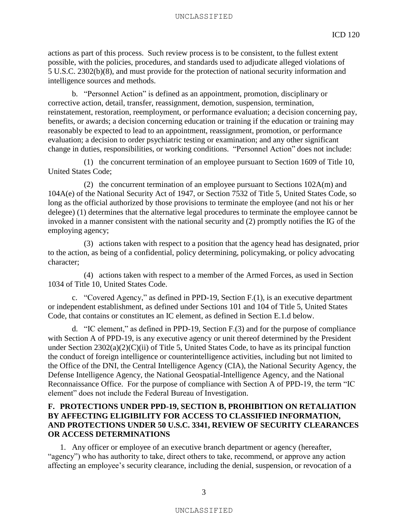#### UNCLASSIFIED

actions as part of this process. Such review process is to be consistent, to the fullest extent possible, with the policies, procedures, and standards used to adjudicate alleged violations of 5 U.S.C. 2302(b)(8), and must provide for the protection of national security information and intelligence sources and methods.

b. "Personnel Action" is defined as an appointment, promotion, disciplinary or corrective action, detail, transfer, reassignment, demotion, suspension, termination, reinstatement, restoration, reemployment, or performance evaluation; a decision concerning pay, benefits, or awards; a decision concerning education or training if the education or training may reasonably be expected to lead to an appointment, reassignment, promotion, or performance evaluation; a decision to order psychiatric testing or examination; and any other significant change in duties, responsibilities, or working conditions. "Personnel Action" does not include:

(1) the concurrent termination of an employee pursuant to Section 1609 of Title 10, United States Code;

(2) the concurrent termination of an employee pursuant to Sections 102A(m) and 104A(e) of the National Security Act of 1947, or Section 7532 of Title 5, United States Code, so long as the official authorized by those provisions to terminate the employee (and not his or her delegee) (1) determines that the alternative legal procedures to terminate the employee cannot be invoked in a manner consistent with the national security and (2) promptly notifies the IG of the employing agency;

(3) actions taken with respect to a position that the agency head has designated, prior to the action, as being of a confidential, policy determining, policymaking, or policy advocating character;

(4) actions taken with respect to a member of the Armed Forces, as used in Section 1034 of Title 10, United States Code.

c. "Covered Agency," as defined in PPD-19, Section F.(1), is an executive department or independent establishment, as defined under Sections 101 and 104 of Title 5, United States Code, that contains or constitutes an IC element, as defined in Section E.1.d below.

d. "IC element," as defined in PPD-19, Section F.(3) and for the purpose of compliance with Section A of PPD-19, is any executive agency or unit thereof determined by the President under Section 2302(a)(2)(C)(ii) of Title 5, United States Code, to have as its principal function the conduct of foreign intelligence or counterintelligence activities, including but not limited to the Office of the DNI, the Central Intelligence Agency (CIA), the National Security Agency, the Defense Intelligence Agency, the National Geospatial-Intelligence Agency, and the National Reconnaissance Office. For the purpose of compliance with Section A of PPD-19, the term "IC element" does not include the Federal Bureau of Investigation.

### **F. PROTECTIONS UNDER PPD-19, SECTION B, PROHIBITION ON RETALIATION BY AFFECTING ELIGIBILITY FOR ACCESS TO CLASSIFIED INFORMATION, AND PROTECTIONS UNDER 50 U.S.C. 3341, REVIEW OF SECURITY CLEARANCES OR ACCESS DETERMINATIONS**

1. Any officer or employee of an executive branch department or agency (hereafter, "agency") who has authority to take, direct others to take, recommend, or approve any action affecting an employee's security clearance, including the denial, suspension, or revocation of a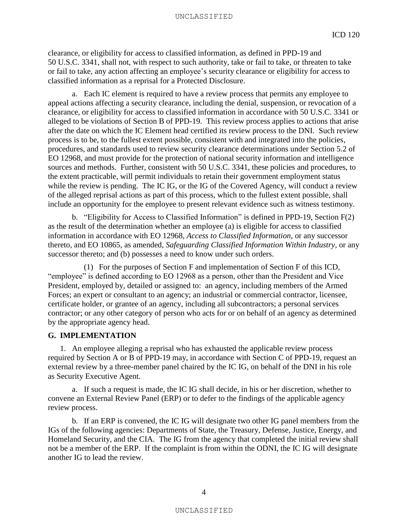clearance, or eligibility for access to classified information, as defined in PPD-19 and 50 U.S.C. 3341, shall not, with respect to such authority, take or fail to take, or threaten to take or fail to take, any action affecting an employee's security clearance or eligibility for access to classified information as a reprisal for a Protected Disclosure.

a. Each IC element is required to have a review process that permits any employee to appeal actions affecting a security clearance, including the denial, suspension, or revocation of a clearance, or eligibility for access to classified information in accordance with 50 U.S.C. 3341 or alleged to be violations of Section B of PPD-19. This review process applies to actions that arise after the date on which the IC Element head certified its review process to the DNI. Such review process is to be, to the fullest extent possible, consistent with and integrated into the policies, procedures, and standards used to review security clearance determinations under Section 5.2 of EO 12968, and must provide for the protection of national security information and intelligence sources and methods. Further, consistent with 50 U.S.C. 3341, these policies and procedures, to the extent practicable, will permit individuals to retain their government employment status while the review is pending. The IC IG, or the IG of the Covered Agency, will conduct a review of the alleged reprisal actions as part of this process, which to the fullest extent possible, shall include an opportunity for the employee to present relevant evidence such as witness testimony.

b. "Eligibility for Access to Classified Information" is defined in PPD-19, Section F(2) as the result of the determination whether an employee (a) is eligible for access to classified information in accordance with EO 12968, *Access to Classified Information*, or any successor thereto, and EO 10865, as amended, *Safeguarding Classified Information Within Industry*, or any successor thereto; and (b) possesses a need to know under such orders.

(1) For the purposes of Section F and implementation of Section F of this ICD, "employee" is defined according to EO 12968 as a person, other than the President and Vice President, employed by, detailed or assigned to: an agency, including members of the Armed Forces; an expert or consultant to an agency; an industrial or commercial contractor, licensee, certificate holder, or grantee of an agency, including all subcontractors; a personal services contractor; or any other category of person who acts for or on behalf of an agency as determined by the appropriate agency head.

#### **G. IMPLEMENTATION**

1. An employee alleging a reprisal who has exhausted the applicable review process required by Section A or B of PPD-19 may, in accordance with Section C of PPD-19, request an external review by a three-member panel chaired by the IC IG, on behalf of the DNI in his role as Security Executive Agent.

a. If such a request is made, the IC IG shall decide, in his or her discretion, whether to convene an External Review Panel (ERP) or to defer to the findings of the applicable agency review process.

b. If an ERP is convened, the IC IG will designate two other IG panel members from the IGs of the following agencies: Departments of State, the Treasury, Defense, Justice, Energy, and Homeland Security, and the CIA. The IG from the agency that completed the initial review shall not be a member of the ERP. If the complaint is from within the ODNI, the IC IG will designate another IG to lead the review.